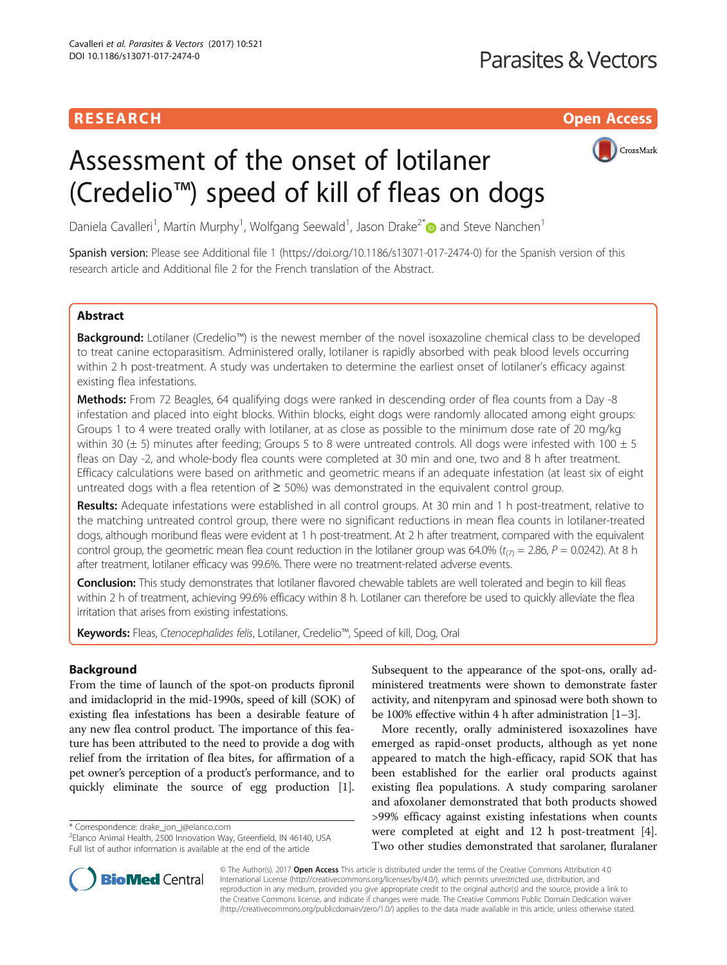## RESEARCH **RESEARCH CHOOSE ACCESS**



# Assessment of the onset of lotilaner (Credelio™) speed of kill of fleas on dogs

Daniela Cavalleri<sup>1</sup>, Martin Murphy<sup>1</sup>, Wolfgang Seewald<sup>1</sup>, Jason Drake<sup>2\*</sup> and Steve Nanchen<sup>1</sup>

Spanish version: Please see Additional file [1](#page-4-0) (<https://doi.org/10.1186/s13071-017-2474-0>) for the Spanish version of this research article and Additional file [2](#page-4-0) for the French translation of the Abstract.

## **Abstract**

Background: Lotilaner (Credelio™) is the newest member of the novel isoxazoline chemical class to be developed to treat canine ectoparasitism. Administered orally, lotilaner is rapidly absorbed with peak blood levels occurring within 2 h post-treatment. A study was undertaken to determine the earliest onset of lotilaner's efficacy against existing flea infestations.

Methods: From 72 Beagles, 64 qualifying dogs were ranked in descending order of flea counts from a Day -8 infestation and placed into eight blocks. Within blocks, eight dogs were randomly allocated among eight groups: Groups 1 to 4 were treated orally with lotilaner, at as close as possible to the minimum dose rate of 20 mg/kg within 30 ( $\pm$  5) minutes after feeding; Groups 5 to 8 were untreated controls. All dogs were infested with 100  $\pm$  5 fleas on Day -2, and whole-body flea counts were completed at 30 min and one, two and 8 h after treatment. Efficacy calculations were based on arithmetic and geometric means if an adequate infestation (at least six of eight untreated dogs with a flea retention of  $\geq$  50%) was demonstrated in the equivalent control group.

Results: Adequate infestations were established in all control groups. At 30 min and 1 h post-treatment, relative to the matching untreated control group, there were no significant reductions in mean flea counts in lotilaner-treated dogs, although moribund fleas were evident at 1 h post-treatment. At 2 h after treatment, compared with the equivalent control group, the geometric mean flea count reduction in the lotilaner group was 64.0% ( $t_{(7)}$  = 2.86, P = 0.0242). At 8 h after treatment, lotilaner efficacy was 99.6%. There were no treatment-related adverse events.

Conclusion: This study demonstrates that lotilaner flavored chewable tablets are well tolerated and begin to kill fleas within 2 h of treatment, achieving 99.6% efficacy within 8 h. Lotilaner can therefore be used to quickly alleviate the flea irritation that arises from existing infestations.

Keywords: Fleas, Ctenocephalides felis, Lotilaner, Credelio™, Speed of kill, Dog, Oral

## Background

From the time of launch of the spot-on products fipronil and imidacloprid in the mid-1990s, speed of kill (SOK) of existing flea infestations has been a desirable feature of any new flea control product. The importance of this feature has been attributed to the need to provide a dog with relief from the irritation of flea bites, for affirmation of a pet owner's perception of a product's performance, and to quickly eliminate the source of egg production [[1](#page-4-0)].

\* Correspondence: [drake\\_jon\\_j@elanco.com](mailto:drake_jon_j@elanco.com) <sup>2</sup>

Subsequent to the appearance of the spot-ons, orally administered treatments were shown to demonstrate faster activity, and nitenpyram and spinosad were both shown to be 100% effective within 4 h after administration [\[1](#page-4-0)–[3\]](#page-4-0).

More recently, orally administered isoxazolines have emerged as rapid-onset products, although as yet none appeared to match the high-efficacy, rapid SOK that has been established for the earlier oral products against existing flea populations. A study comparing sarolaner and afoxolaner demonstrated that both products showed >99% efficacy against existing infestations when counts were completed at eight and 12 h post-treatment [\[4](#page-4-0)]. Two other studies demonstrated that sarolaner, fluralaner



© The Author(s). 2017 **Open Access** This article is distributed under the terms of the Creative Commons Attribution 4.0 International License [\(http://creativecommons.org/licenses/by/4.0/](http://creativecommons.org/licenses/by/4.0/)), which permits unrestricted use, distribution, and reproduction in any medium, provided you give appropriate credit to the original author(s) and the source, provide a link to the Creative Commons license, and indicate if changes were made. The Creative Commons Public Domain Dedication waiver [\(http://creativecommons.org/publicdomain/zero/1.0/](http://creativecommons.org/publicdomain/zero/1.0/)) applies to the data made available in this article, unless otherwise stated.

<sup>&</sup>lt;sup>2</sup>Elanco Animal Health, 2500 Innovation Way, Greenfield, IN 46140, USA Full list of author information is available at the end of the article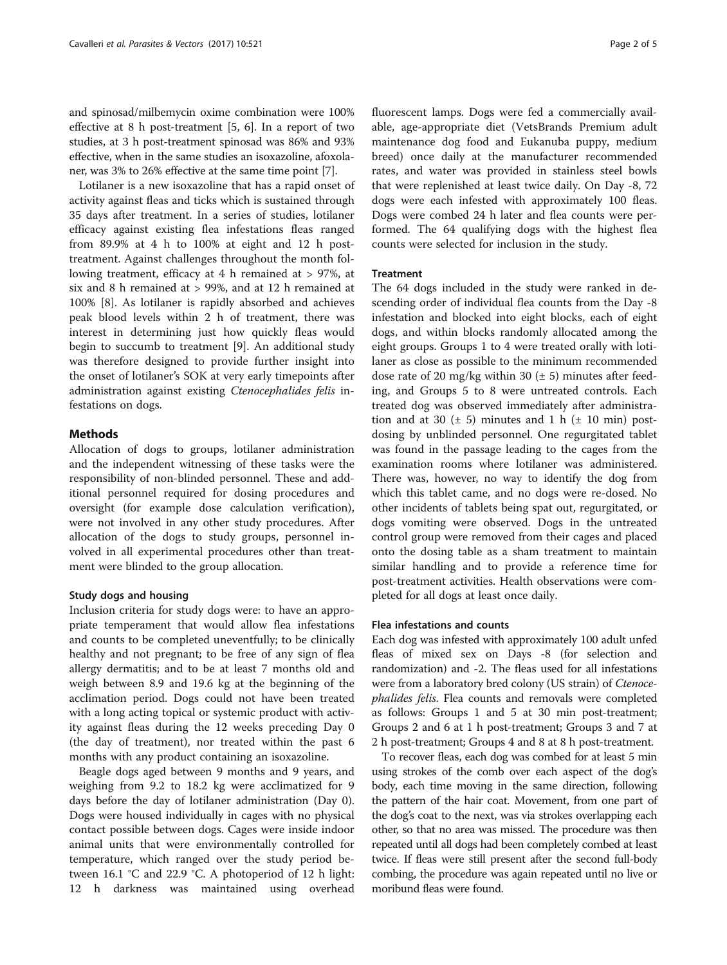and spinosad/milbemycin oxime combination were 100% effective at 8 h post-treatment [\[5](#page-4-0), [6](#page-4-0)]. In a report of two studies, at 3 h post-treatment spinosad was 86% and 93% effective, when in the same studies an isoxazoline, afoxolaner, was 3% to 26% effective at the same time point [[7](#page-4-0)].

Lotilaner is a new isoxazoline that has a rapid onset of activity against fleas and ticks which is sustained through 35 days after treatment. In a series of studies, lotilaner efficacy against existing flea infestations fleas ranged from 89.9% at 4 h to 100% at eight and 12 h posttreatment. Against challenges throughout the month following treatment, efficacy at 4 h remained at > 97%, at six and 8 h remained at > 99%, and at 12 h remained at 100% [[8\]](#page-4-0). As lotilaner is rapidly absorbed and achieves peak blood levels within 2 h of treatment, there was interest in determining just how quickly fleas would begin to succumb to treatment [\[9\]](#page-4-0). An additional study was therefore designed to provide further insight into the onset of lotilaner's SOK at very early timepoints after administration against existing Ctenocephalides felis infestations on dogs.

## Methods

Allocation of dogs to groups, lotilaner administration and the independent witnessing of these tasks were the responsibility of non-blinded personnel. These and additional personnel required for dosing procedures and oversight (for example dose calculation verification), were not involved in any other study procedures. After allocation of the dogs to study groups, personnel involved in all experimental procedures other than treatment were blinded to the group allocation.

#### Study dogs and housing

Inclusion criteria for study dogs were: to have an appropriate temperament that would allow flea infestations and counts to be completed uneventfully; to be clinically healthy and not pregnant; to be free of any sign of flea allergy dermatitis; and to be at least 7 months old and weigh between 8.9 and 19.6 kg at the beginning of the acclimation period. Dogs could not have been treated with a long acting topical or systemic product with activity against fleas during the 12 weeks preceding Day 0 (the day of treatment), nor treated within the past 6 months with any product containing an isoxazoline.

Beagle dogs aged between 9 months and 9 years, and weighing from 9.2 to 18.2 kg were acclimatized for 9 days before the day of lotilaner administration (Day 0). Dogs were housed individually in cages with no physical contact possible between dogs. Cages were inside indoor animal units that were environmentally controlled for temperature, which ranged over the study period between 16.1 °C and 22.9 °C. A photoperiod of 12 h light: 12 h darkness was maintained using overhead fluorescent lamps. Dogs were fed a commercially available, age-appropriate diet (VetsBrands Premium adult maintenance dog food and Eukanuba puppy, medium breed) once daily at the manufacturer recommended rates, and water was provided in stainless steel bowls that were replenished at least twice daily. On Day -8, 72 dogs were each infested with approximately 100 fleas. Dogs were combed 24 h later and flea counts were performed. The 64 qualifying dogs with the highest flea counts were selected for inclusion in the study.

## **Treatment**

The 64 dogs included in the study were ranked in descending order of individual flea counts from the Day -8 infestation and blocked into eight blocks, each of eight dogs, and within blocks randomly allocated among the eight groups. Groups 1 to 4 were treated orally with lotilaner as close as possible to the minimum recommended dose rate of 20 mg/kg within 30  $(\pm 5)$  minutes after feeding, and Groups 5 to 8 were untreated controls. Each treated dog was observed immediately after administration and at 30  $(\pm 5)$  minutes and 1 h  $(\pm 10 \text{ min})$  postdosing by unblinded personnel. One regurgitated tablet was found in the passage leading to the cages from the examination rooms where lotilaner was administered. There was, however, no way to identify the dog from which this tablet came, and no dogs were re-dosed. No other incidents of tablets being spat out, regurgitated, or dogs vomiting were observed. Dogs in the untreated control group were removed from their cages and placed onto the dosing table as a sham treatment to maintain similar handling and to provide a reference time for post-treatment activities. Health observations were completed for all dogs at least once daily.

## Flea infestations and counts

Each dog was infested with approximately 100 adult unfed fleas of mixed sex on Days -8 (for selection and randomization) and -2. The fleas used for all infestations were from a laboratory bred colony (US strain) of Ctenocephalides felis. Flea counts and removals were completed as follows: Groups 1 and 5 at 30 min post-treatment; Groups 2 and 6 at 1 h post-treatment; Groups 3 and 7 at 2 h post-treatment; Groups 4 and 8 at 8 h post-treatment.

To recover fleas, each dog was combed for at least 5 min using strokes of the comb over each aspect of the dog's body, each time moving in the same direction, following the pattern of the hair coat. Movement, from one part of the dog's coat to the next, was via strokes overlapping each other, so that no area was missed. The procedure was then repeated until all dogs had been completely combed at least twice. If fleas were still present after the second full-body combing, the procedure was again repeated until no live or moribund fleas were found.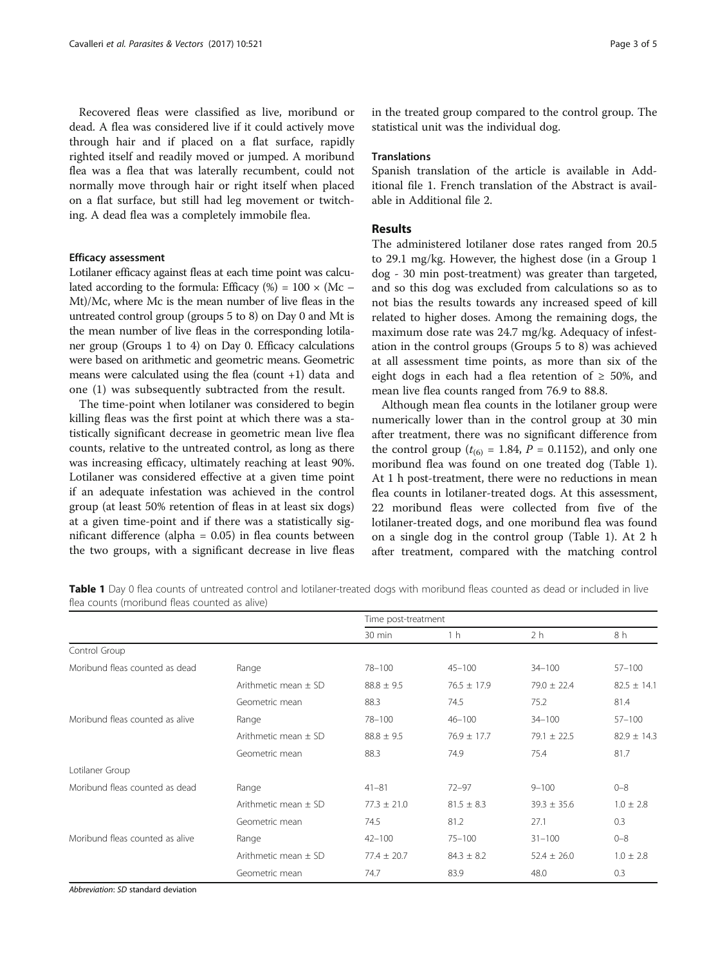Recovered fleas were classified as live, moribund or dead. A flea was considered live if it could actively move through hair and if placed on a flat surface, rapidly righted itself and readily moved or jumped. A moribund flea was a flea that was laterally recumbent, could not normally move through hair or right itself when placed on a flat surface, but still had leg movement or twitching. A dead flea was a completely immobile flea.

## Efficacy assessment

Lotilaner efficacy against fleas at each time point was calculated according to the formula: Efficacy  $%$  = 100  $\times$  (Mc – Mt)/Mc, where Mc is the mean number of live fleas in the untreated control group (groups 5 to 8) on Day 0 and Mt is the mean number of live fleas in the corresponding lotilaner group (Groups 1 to 4) on Day 0. Efficacy calculations were based on arithmetic and geometric means. Geometric means were calculated using the flea (count +1) data and one (1) was subsequently subtracted from the result.

The time-point when lotilaner was considered to begin killing fleas was the first point at which there was a statistically significant decrease in geometric mean live flea counts, relative to the untreated control, as long as there was increasing efficacy, ultimately reaching at least 90%. Lotilaner was considered effective at a given time point if an adequate infestation was achieved in the control group (at least 50% retention of fleas in at least six dogs) at a given time-point and if there was a statistically significant difference (alpha = 0.05) in flea counts between the two groups, with a significant decrease in live fleas in the treated group compared to the control group. The statistical unit was the individual dog.

#### **Translations**

Spanish translation of the article is available in Additional file [1](#page-4-0). French translation of the Abstract is available in Additional file [2](#page-4-0).

## Results

The administered lotilaner dose rates ranged from 20.5 to 29.1 mg/kg. However, the highest dose (in a Group 1 dog - 30 min post-treatment) was greater than targeted, and so this dog was excluded from calculations so as to not bias the results towards any increased speed of kill related to higher doses. Among the remaining dogs, the maximum dose rate was 24.7 mg/kg. Adequacy of infestation in the control groups (Groups 5 to 8) was achieved at all assessment time points, as more than six of the eight dogs in each had a flea retention of  $\geq 50\%$ , and mean live flea counts ranged from 76.9 to 88.8.

Although mean flea counts in the lotilaner group were numerically lower than in the control group at 30 min after treatment, there was no significant difference from the control group ( $t_{(6)}$  = 1.84, P = 0.1152), and only one moribund flea was found on one treated dog (Table 1). At 1 h post-treatment, there were no reductions in mean flea counts in lotilaner-treated dogs. At this assessment, 22 moribund fleas were collected from five of the lotilaner-treated dogs, and one moribund flea was found on a single dog in the control group (Table 1). At 2 h after treatment, compared with the matching control

Table 1 Day 0 flea counts of untreated control and lotilaner-treated dogs with moribund fleas counted as dead or included in live flea counts (moribund fleas counted as alive)

|                                 |                          | Time post-treatment |                 |                 |                 |  |
|---------------------------------|--------------------------|---------------------|-----------------|-----------------|-----------------|--|
|                                 |                          | $30 \text{ min}$    | 1 <sub>h</sub>  | 2 <sub>h</sub>  | 8 h             |  |
| Control Group                   |                          |                     |                 |                 |                 |  |
| Moribund fleas counted as dead  | Range                    | 78-100              | $45 - 100$      | $34 - 100$      | $57 - 100$      |  |
|                                 | Arithmetic mean + SD     | $88.8 \pm 9.5$      | $76.5 \pm 17.9$ | $79.0 \pm 22.4$ | $82.5 \pm 14.1$ |  |
|                                 | Geometric mean           | 88.3                | 74.5            | 75.2            | 81.4            |  |
| Moribund fleas counted as alive | Range                    | 78-100              | $46 - 100$      | $34 - 100$      | $57 - 100$      |  |
|                                 | Arithmetic mean $+$ SD   | $88.8 \pm 9.5$      | $76.9 \pm 17.7$ | $79.1 \pm 22.5$ | $82.9 \pm 14.3$ |  |
|                                 | Geometric mean           | 88.3                | 74.9            | 75.4            | 81.7            |  |
| Lotilaner Group                 |                          |                     |                 |                 |                 |  |
| Moribund fleas counted as dead  | Range                    | $41 - 81$           | $72 - 97$       | $9 - 100$       | $0 - 8$         |  |
|                                 | Arithmetic mean $\pm$ SD | $77.3 \pm 21.0$     | $81.5 \pm 8.3$  | $39.3 \pm 35.6$ | $1.0 \pm 2.8$   |  |
|                                 | Geometric mean           | 74.5                | 81.2            | 27.1            | 0.3             |  |
| Moribund fleas counted as alive | Range                    | $42 - 100$          | $75 - 100$      | $31 - 100$      | $0 - 8$         |  |
|                                 | Arithmetic mean $\pm$ SD | $77.4 \pm 20.7$     | $84.3 \pm 8.2$  | $52.4 \pm 26.0$ | $1.0 \pm 2.8$   |  |
|                                 | Geometric mean           | 74.7                | 83.9            | 48.0            | 0.3             |  |

Abbreviation: SD standard deviation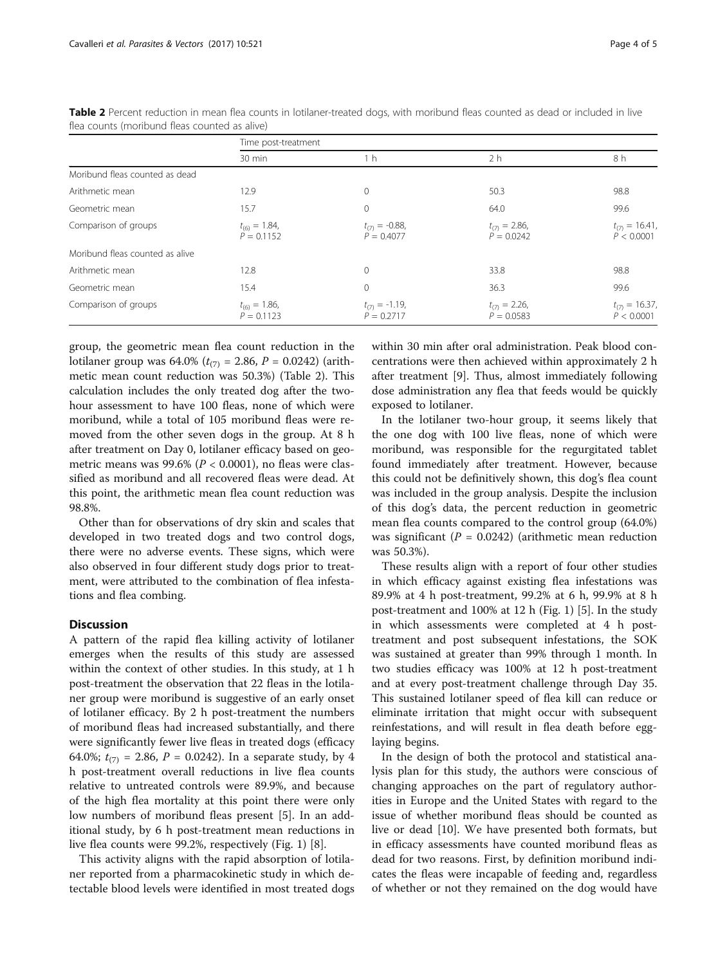| Page 4 of 5 |
|-------------|
|-------------|

|                                 | Time post-treatment                |                                     |                                    |                                   |  |  |  |
|---------------------------------|------------------------------------|-------------------------------------|------------------------------------|-----------------------------------|--|--|--|
|                                 | 30 min                             | 1 <sub>h</sub>                      | 2 h                                | 8 h                               |  |  |  |
| Moribund fleas counted as dead  |                                    |                                     |                                    |                                   |  |  |  |
| Arithmetic mean                 | 12.9                               | 0                                   | 50.3                               | 98.8                              |  |  |  |
| Geometric mean                  | 15.7                               | $\Omega$                            | 64.0                               | 99.6                              |  |  |  |
| Comparison of groups            | $t_{(6)} = 1.84$ ,<br>$P = 0.1152$ | $t_{(7)} = -0.88$<br>$P = 0.4077$   | $t_{(7)} = 2.86$ ,<br>$P = 0.0242$ | $t_{(7)} = 16.41$ ,<br>P < 0.0001 |  |  |  |
| Moribund fleas counted as alive |                                    |                                     |                                    |                                   |  |  |  |
| Arithmetic mean                 | 12.8                               |                                     | 33.8                               | 98.8                              |  |  |  |
| Geometric mean                  | 15.4                               | $\Omega$                            | 36.3                               | 99.6                              |  |  |  |
| Comparison of groups            | $t_{(6)} = 1.86$ ,<br>$P = 0.1123$ | $t_{(7)} = -1.19$ ,<br>$P = 0.2717$ | $t_{(7)} = 2.26$ ,<br>$P = 0.0583$ | $t_{(7)} = 16.37$ ,<br>P < 0.0001 |  |  |  |

Table 2 Percent reduction in mean flea counts in lotilaner-treated dogs, with moribund fleas counted as dead or included in live flea counts (moribund fleas counted as alive)

group, the geometric mean flea count reduction in the lotilaner group was 64.0% ( $t_{(7)}$  = 2.86, P = 0.0242) (arithmetic mean count reduction was 50.3%) (Table 2). This calculation includes the only treated dog after the twohour assessment to have 100 fleas, none of which were moribund, while a total of 105 moribund fleas were removed from the other seven dogs in the group. At 8 h after treatment on Day 0, lotilaner efficacy based on geometric means was 99.6% ( $P < 0.0001$ ), no fleas were classified as moribund and all recovered fleas were dead. At this point, the arithmetic mean flea count reduction was 98.8%.

Other than for observations of dry skin and scales that developed in two treated dogs and two control dogs, there were no adverse events. These signs, which were also observed in four different study dogs prior to treatment, were attributed to the combination of flea infestations and flea combing.

## **Discussion**

A pattern of the rapid flea killing activity of lotilaner emerges when the results of this study are assessed within the context of other studies. In this study, at 1 h post-treatment the observation that 22 fleas in the lotilaner group were moribund is suggestive of an early onset of lotilaner efficacy. By 2 h post-treatment the numbers of moribund fleas had increased substantially, and there were significantly fewer live fleas in treated dogs (efficacy 64.0%;  $t_{(7)} = 2.86$ ,  $P = 0.0242$ ). In a separate study, by 4 h post-treatment overall reductions in live flea counts relative to untreated controls were 89.9%, and because of the high flea mortality at this point there were only low numbers of moribund fleas present [\[5](#page-4-0)]. In an additional study, by 6 h post-treatment mean reductions in live flea counts were 99.2%, respectively (Fig. [1](#page-4-0)) [\[8](#page-4-0)].

This activity aligns with the rapid absorption of lotilaner reported from a pharmacokinetic study in which detectable blood levels were identified in most treated dogs within 30 min after oral administration. Peak blood concentrations were then achieved within approximately 2 h after treatment [\[9](#page-4-0)]. Thus, almost immediately following dose administration any flea that feeds would be quickly exposed to lotilaner.

In the lotilaner two-hour group, it seems likely that the one dog with 100 live fleas, none of which were moribund, was responsible for the regurgitated tablet found immediately after treatment. However, because this could not be definitively shown, this dog's flea count was included in the group analysis. Despite the inclusion of this dog's data, the percent reduction in geometric mean flea counts compared to the control group (64.0%) was significant ( $P = 0.0242$ ) (arithmetic mean reduction was 50.3%).

These results align with a report of four other studies in which efficacy against existing flea infestations was 89.9% at 4 h post-treatment, 99.2% at 6 h, 99.9% at 8 h post-treatment and 100% at 12 h (Fig. [1](#page-4-0)) [\[5](#page-4-0)]. In the study in which assessments were completed at 4 h posttreatment and post subsequent infestations, the SOK was sustained at greater than 99% through 1 month. In two studies efficacy was 100% at 12 h post-treatment and at every post-treatment challenge through Day 35. This sustained lotilaner speed of flea kill can reduce or eliminate irritation that might occur with subsequent reinfestations, and will result in flea death before egglaying begins.

In the design of both the protocol and statistical analysis plan for this study, the authors were conscious of changing approaches on the part of regulatory authorities in Europe and the United States with regard to the issue of whether moribund fleas should be counted as live or dead [[10](#page-4-0)]. We have presented both formats, but in efficacy assessments have counted moribund fleas as dead for two reasons. First, by definition moribund indicates the fleas were incapable of feeding and, regardless of whether or not they remained on the dog would have